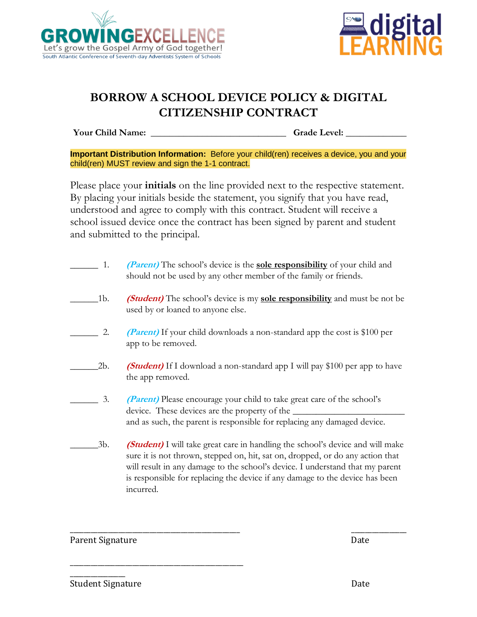



## **BORROW A SCHOOL DEVICE POLICY & DIGITAL CITIZENSHIP CONTRACT**

**Your Child Name:** \_\_\_\_\_\_\_\_\_\_\_\_\_\_\_\_\_\_\_\_\_\_\_\_\_\_\_\_\_\_\_Grade Level:

**Important Distribution Information:** Before your child(ren) receives a device, you and your child(ren) MUST review and sign the 1-1 contract.

Please place your **initials** on the line provided next to the respective statement. By placing your initials beside the statement, you signify that you have read, understood and agree to comply with this contract. Student will receive a school issued device once the contract has been signed by parent and student and submitted to the principal.

\_\_\_\_\_\_ 1. **(Parent)** The school's device is the **sole responsibility** of your child and should not be used by any other member of the family or friends. \_\_\_\_\_\_1b. **(Student)** The school's device is my **sole responsibility** and must be not be used by or loaned to anyone else. 2. **(Parent)** If your child downloads a non-standard app the cost is \$100 per app to be removed. \_\_\_\_\_\_2b. **(Student)** If I download a non-standard app I will pay \$100 per app to have the app removed. \_\_\_\_\_\_ 3. **(Parent)** Please encourage your child to take great care of the school's device. These devices are the property of the  $\perp$ and as such, the parent is responsible for replacing any damaged device. \_\_\_\_\_\_3b. **(Student)** I will take great care in handling the school's device and will make sure it is not thrown, stepped on, hit, sat on, dropped, or do any action that will result in any damage to the school's device. I understand that my parent is responsible for replacing the device if any damage to the device has been incurred.

\_\_\_\_\_\_\_\_\_\_\_\_\_\_\_\_\_\_\_\_\_\_\_\_\_\_\_\_\_\_\_\_\_\_\_\_\_\_\_\_\_\_\_\_\_\_\_\_\_ \_\_\_\_\_\_\_\_\_\_\_\_\_\_\_\_

Parent Signature Date

\_\_\_\_\_\_\_\_\_\_\_\_\_\_\_\_

\_\_\_\_\_\_\_\_\_\_\_\_\_\_\_\_\_\_\_\_\_\_\_\_\_\_\_\_\_\_\_\_\_\_\_\_\_\_\_\_\_\_\_\_\_\_\_\_\_\_